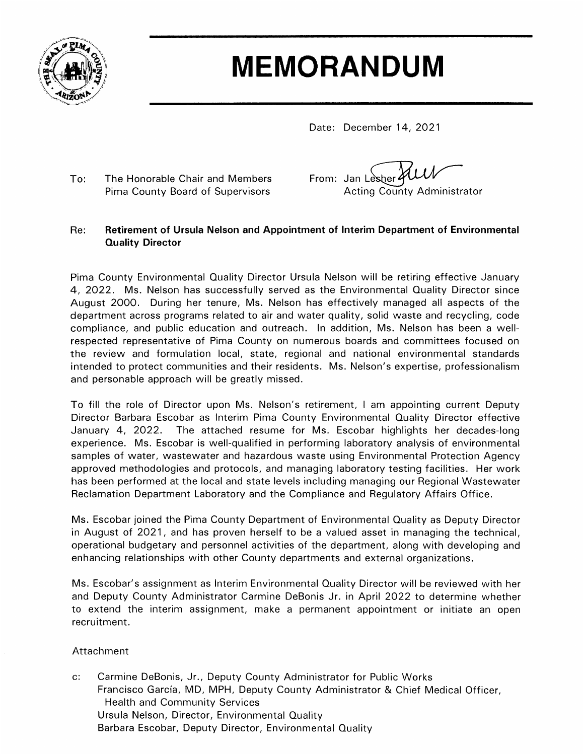

# **MEMORANDUM**

Date: December 14, 2021

To: The Honorable Chair and Members Pima County Board of Supervisors

From: Jan Lesher 21 **Acting County Administrator** 

#### Re: Retirement of Ursula Nelson and Appointment of Interim Department of Environmental **Quality Director**

Pima County Environmental Quality Director Ursula Nelson will be retiring effective January 4, 2022. Ms. Nelson has successfully served as the Environmental Quality Director since August 2000. During her tenure, Ms. Nelson has effectively managed all aspects of the department across programs related to air and water quality, solid waste and recycling, code compliance, and public education and outreach. In addition, Ms. Nelson has been a wellrespected representative of Pima County on numerous boards and committees focused on the review and formulation local, state, regional and national environmental standards intended to protect communities and their residents. Ms. Nelson's expertise, professionalism and personable approach will be greatly missed.

To fill the role of Director upon Ms. Nelson's retirement, I am appointing current Deputy Director Barbara Escobar as Interim Pima County Environmental Quality Director effective January 4, 2022. The attached resume for Ms. Escobar highlights her decades-long experience. Ms. Escobar is well-qualified in performing laboratory analysis of environmental samples of water, wastewater and hazardous waste using Environmental Protection Agency approved methodologies and protocols, and managing laboratory testing facilities. Her work has been performed at the local and state levels including managing our Regional Wastewater Reclamation Department Laboratory and the Compliance and Regulatory Affairs Office.

Ms. Escobar joined the Pima County Department of Environmental Quality as Deputy Director in August of 2021, and has proven herself to be a valued asset in managing the technical, operational budgetary and personnel activities of the department, along with developing and enhancing relationships with other County departments and external organizations.

Ms. Escobar's assignment as Interim Environmental Quality Director will be reviewed with her and Deputy County Administrator Carmine DeBonis Jr. in April 2022 to determine whether to extend the interim assignment, make a permanent appointment or initiate an open recruitment.

### Attachment

 $\mathbf{c}$ : Carmine DeBonis, Jr., Deputy County Administrator for Public Works Francisco García, MD, MPH, Deputy County Administrator & Chief Medical Officer, **Health and Community Services** Ursula Nelson, Director, Environmental Quality Barbara Escobar, Deputy Director, Environmental Quality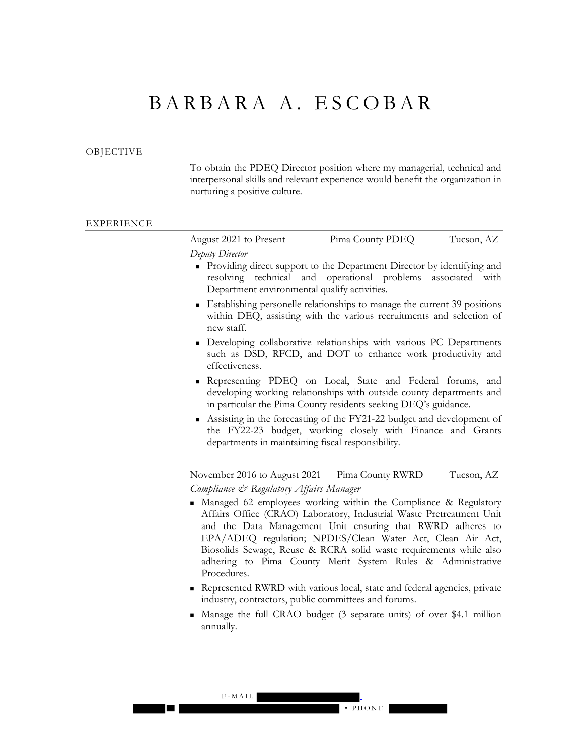## BARBARA A. ESCOBAR

#### OBJECTIVE

To obtain the PDEQ Director position where my managerial, technical and interpersonal skills and relevant experience would benefit the organization in nurturing a positive culture.

#### EXPERIENCE

| August 2021 to Present | Pima County PDEQ | Tucson, AZ |
|------------------------|------------------|------------|
| Deputy Director        |                  |            |

- **Providing direct support to the Department Director by identifying and** resolving technical and operational problems associated with Department environmental qualify activities.
- Establishing personelle relationships to manage the current 39 positions within DEQ, assisting with the various recruitments and selection of new staff.
- **Developing collaborative relationships with various PC Departments** such as DSD, RFCD, and DOT to enhance work productivity and effectiveness.
- Representing PDEQ on Local, State and Federal forums, and developing working relationships with outside county departments and in particular the Pima County residents seeking DEQ's guidance.
- Assisting in the forecasting of the FY21-22 budget and development of the FY22-23 budget, working closely with Finance and Grants departments in maintaining fiscal responsibility.

November 2016 to August 2021 Pima County RWRD Tucson, AZ *Compliance & Regulatory Affairs Manager*

- Managed 62 employees working within the Compliance & Regulatory Affairs Office (CRAO) Laboratory, Industrial Waste Pretreatment Unit and the Data Management Unit ensuring that RWRD adheres to EPA/ADEQ regulation; NPDES/Clean Water Act, Clean Air Act, Biosolids Sewage, Reuse & RCRA solid waste requirements while also adhering to Pima County Merit System Rules & Administrative Procedures.
- Represented RWRD with various local, state and federal agencies, private industry, contractors, public committees and forums.
- Manage the full CRAO budget (3 separate units) of over \$4.1 million annually.

#### E - MAIL • PHONE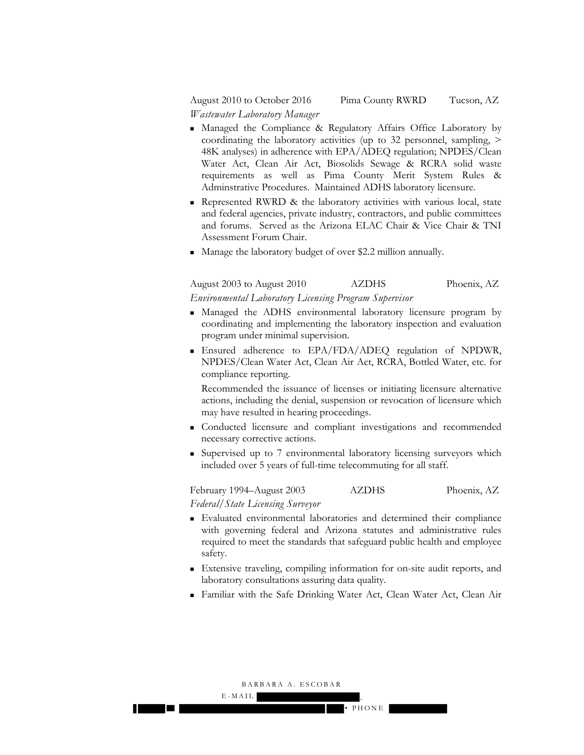August 2010 to October 2016 Pima County RWRD Tucson, AZ *Wastewater Laboratory Manager*

- Managed the Compliance & Regulatory Affairs Office Laboratory by coordinating the laboratory activities (up to 32 personnel, sampling, > 48K analyses) in adherence with EPA/ADEQ regulation; NPDES/Clean Water Act, Clean Air Act, Biosolids Sewage & RCRA solid waste requirements as well as Pima County Merit System Rules & Adminstrative Procedures. Maintained ADHS laboratory licensure.
- **Represented RWRD & the laboratory activities with various local, state** and federal agencies, private industry, contractors, and public committees and forums. Served as the Arizona ELAC Chair & Vice Chair & TNI Assessment Forum Chair.
- Manage the laboratory budget of over \$2.2 million annually.

August 2003 to August 2010 AZDHS Phoenix, AZ *Environmental Laboratory Licensing Program Supervisor*

- Managed the ADHS environmental laboratory licensure program by coordinating and implementing the laboratory inspection and evaluation program under minimal supervision.
- Ensured adherence to EPA/FDA/ADEQ regulation of NPDWR, NPDES/Clean Water Act, Clean Air Act, RCRA, Bottled Water, etc. for compliance reporting.

Recommended the issuance of licenses or initiating licensure alternative actions, including the denial, suspension or revocation of licensure which may have resulted in hearing proceedings.

- Conducted licensure and compliant investigations and recommended necessary corrective actions.
- Supervised up to 7 environmental laboratory licensing surveyors which included over 5 years of full-time telecommuting for all staff.

February 1994–August 2003 AZDHS Phoenix, AZ *Federal/State Licensing Surveyor*

- Evaluated environmental laboratories and determined their compliance with governing federal and Arizona statutes and administrative rules required to meet the standards that safeguard public health and employee safety.
- Extensive traveling, compiling information for on-site audit reports, and laboratory consultations assuring data quality.
- Familiar with the Safe Drinking Water Act, Clean Water Act, Clean Air

• PHONE

BARBARA A. ESCOBAR

E - MAIL

a katika Ma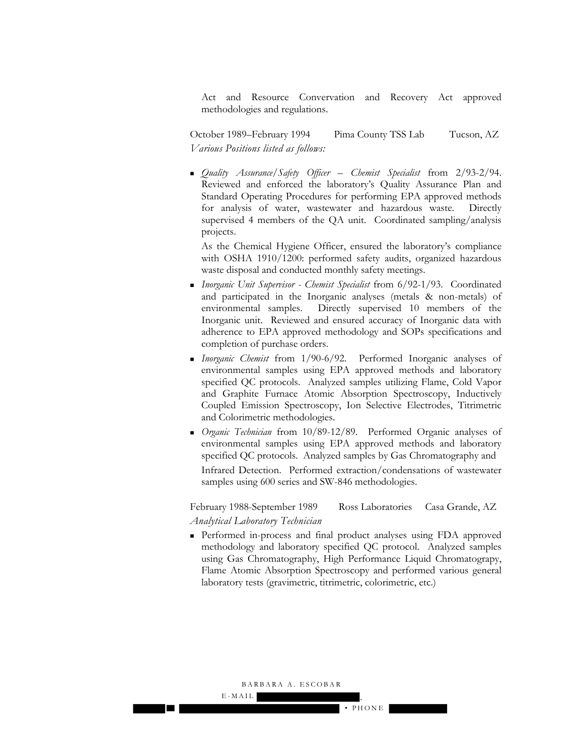Act and Resource Convervation and Recovery Act approved methodologies and regulations.

October 1989–February 1994 Pima County TSS Lab Tucson, AZ *Various Positions listed as follows:*

 *Quality Assurance/Safety Officer – Chemist Specialist* from 2/93-2/94. Reviewed and enforced the laboratory's Quality Assurance Plan and Standard Operating Procedures for performing EPA approved methods for analysis of water, wastewater and hazardous waste. Directly supervised 4 members of the QA unit. Coordinated sampling/analysis projects.

As the Chemical Hygiene Officer, ensured the laboratory's compliance with OSHA 1910/1200: performed safety audits, organized hazardous waste disposal and conducted monthly safety meetings.

- *Inorganic Unit Supervisor Chemist Specialist* from 6/92-1/93. Coordinated and participated in the Inorganic analyses (metals & non-metals) of environmental samples. Directly supervised 10 members of the Inorganic unit. Reviewed and ensured accuracy of Inorganic data with adherence to EPA approved methodology and SOPs specifications and completion of purchase orders.
- *Inorganic Chemist* from 1/90-6/92. Performed Inorganic analyses of environmental samples using EPA approved methods and laboratory specified QC protocols. Analyzed samples utilizing Flame, Cold Vapor and Graphite Furnace Atomic Absorption Spectroscopy, Inductively Coupled Emission Spectroscopy, Ion Selective Electrodes, Titrimetric and Colorimetric methodologies.
- *Organic Technician* from 10/89-12/89. Performed Organic analyses of environmental samples using EPA approved methods and laboratory specified QC protocols. Analyzed samples by Gas Chromatography and Infrared Detection. Performed extraction/condensations of wastewater samples using 600 series and SW-846 methodologies.

February 1988-September 1989 Ross Laboratories Casa Grande, AZ *Analytical Laboratory Technician*

 Performed in-process and final product analyses using FDA approved methodology and laboratory specified QC protocol. Analyzed samples using Gas Chromatography, High Performance Liquid Chromatograpy, Flame Atomic Absorption Spectroscopy and performed various general laboratory tests (gravimetric, titrimetric, colorimetric, etc.)

BARBARA A. ESCOBAR

E - MAIL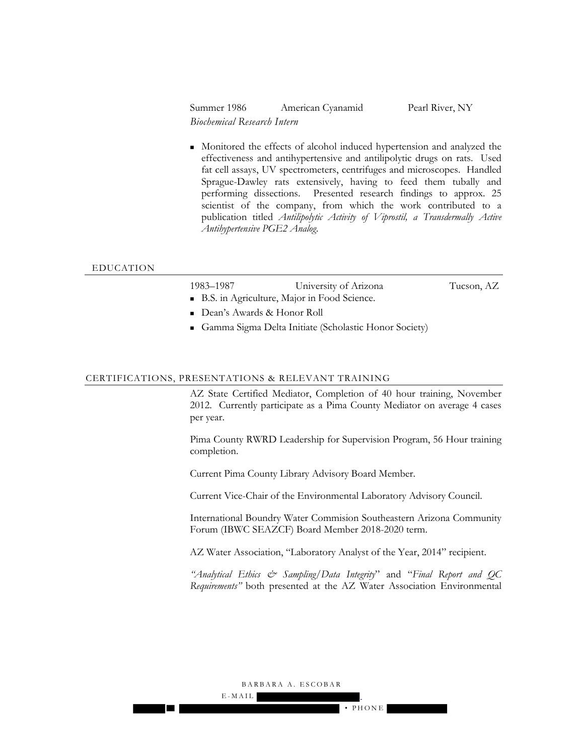Summer 1986 American Cyanamid Pearl River, NY *Biochemical Research Intern*

 Monitored the effects of alcohol induced hypertension and analyzed the effectiveness and antihypertensive and antilipolytic drugs on rats. Used fat cell assays, UV spectrometers, centrifuges and microscopes. Handled Sprague-Dawley rats extensively, having to feed them tubally and performing dissections. Presented research findings to approx. 25 scientist of the company, from which the work contributed to a publication titled *Antilipolytic Activity of Viprostil, a Transdermally Active Antihypertensive PGE2 Analog*.

#### EDUCATION

| 1983–1987                    | University of Arizona                       | Tucson, AZ |
|------------------------------|---------------------------------------------|------------|
|                              | B.S. in Agriculture, Major in Food Science. |            |
| ■ Dean's Awards & Honor Roll |                                             |            |

Gamma Sigma Delta Initiate (Scholastic Honor Society)

#### CERTIFICATIONS, PRESENTATIONS & RELEVANT TRAINING

AZ State Certified Mediator, Completion of 40 hour training, November 2012. Currently participate as a Pima County Mediator on average 4 cases per year.

Pima County RWRD Leadership for Supervision Program, 56 Hour training completion.

Current Pima County Library Advisory Board Member.

Current Vice-Chair of the Environmental Laboratory Advisory Council.

International Boundry Water Commision Southeastern Arizona Community Forum (IBWC SEAZCF) Board Member 2018-2020 term.

AZ Water Association, "Laboratory Analyst of the Year, 2014" recipient.

*"Analytical Ethics & Sampling/Data Integrity*" and "*Final Report and QC Requirements"* both presented at the AZ Water Association Environmental

#### BARBARA A. ESCOBAR

E - MAIL

**The Co**